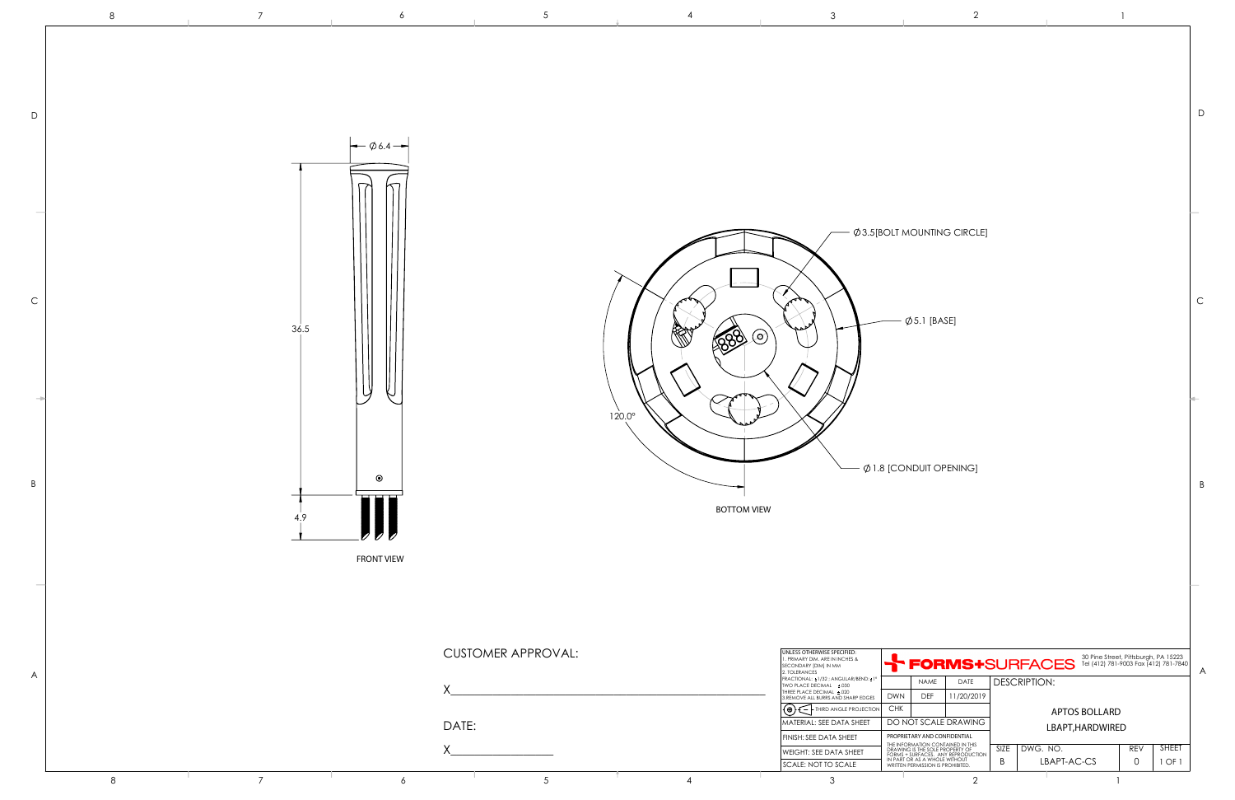D

C

B

30 Pine Street, Pittsburgh, PA 15223 Tel (412) 781-9003 Fax (412) 781-7840



|        | I |  |
|--------|---|--|
| ł<br>٠ |   |  |
|        |   |  |
|        |   |  |

 $\varphi$ 3.5[BOLT MOUNTING CIRCLE]

 $\varphi$  5.1 [BASE]

 $\phi$  1.8 [CONDUIT OPENING]

| SECONDARY  DIM  IN MM<br>2. TOI FRANCES                         | FUNIUSTOUN AULO                                                                                                                                                                                                  |             |                 |          |              | A             |              |  |  |
|-----------------------------------------------------------------|------------------------------------------------------------------------------------------------------------------------------------------------------------------------------------------------------------------|-------------|-----------------|----------|--------------|---------------|--------------|--|--|
| FRACTIONAL: ±1/32 : ANGULAR/BEND:±1°<br>TWO PLACE DECIMAL ±.030 |                                                                                                                                                                                                                  | <b>NAME</b> | DATE            |          | DESCRIPTION: |               |              |  |  |
| THREE PLACE DECIMAL +.020<br>3.REMOVE ALL BURRS AND SHARP EDGES | DWN                                                                                                                                                                                                              | <b>DEF</b>  | 11/20/2019      |          |              |               |              |  |  |
| (⊕`<br>THIRD ANGLE PROJECTION                                   | <b>CHK</b>                                                                                                                                                                                                       |             |                 |          |              | APTOS BOLLARD |              |  |  |
| MATERIAL: SEE DATA SHEET                                        | DO NOT SCALE DRAWING                                                                                                                                                                                             |             | LBAPT.HARDWIRED |          |              |               |              |  |  |
| FINISH: SEE DATA SHEET                                          | PROPRIETARY AND CONFIDENTIAL<br>THE INFORMATION CONTAINED IN THIS<br>DRAWING IS THE SOLE PROPERTY OF<br>FORMS + SURFACES. ANY REPRODUCTION<br>IN PART OR AS A WHOLE WITHOUT<br>WRITTEN PERMISSION IS PROHIBITED. |             |                 |          |              |               |              |  |  |
| WEIGHT: SEE DATA SHEET                                          |                                                                                                                                                                                                                  |             | SIZE            | DWG. NO. |              | <b>REV</b>    | <b>SHEET</b> |  |  |
| <b>SCALE: NOT TO SCALE</b>                                      |                                                                                                                                                                                                                  |             | В               |          | LBAPT-AC-CS  | 0             | OF           |  |  |
| っ                                                               |                                                                                                                                                                                                                  |             | ◠               |          |              |               |              |  |  |